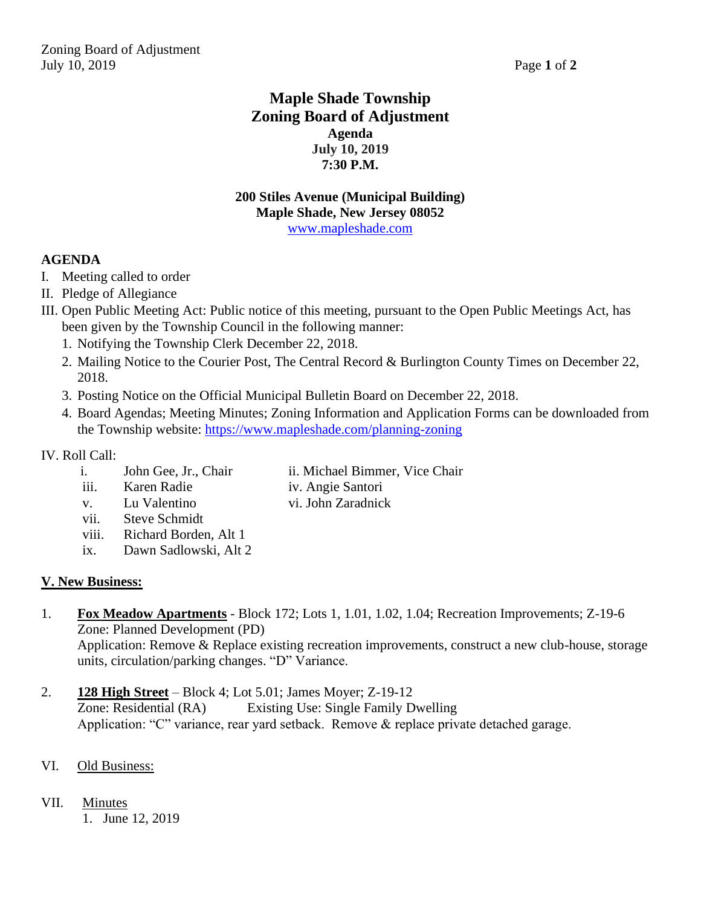# **Maple Shade Township Zoning Board of Adjustment Agenda July 10, 2019 7:30 P.M.**

#### **200 Stiles Avenue (Municipal Building) Maple Shade, New Jersey 08052** [www.mapleshade.com](http://www.mapleshade.com/)

## **AGENDA**

- I. Meeting called to order
- II. Pledge of Allegiance
- III. Open Public Meeting Act: Public notice of this meeting, pursuant to the Open Public Meetings Act, has been given by the Township Council in the following manner:
	- 1. Notifying the Township Clerk December 22, 2018.
	- 2. Mailing Notice to the Courier Post, The Central Record & Burlington County Times on December 22, 2018.
	- 3. Posting Notice on the Official Municipal Bulletin Board on December 22, 2018.
	- 4. Board Agendas; Meeting Minutes; Zoning Information and Application Forms can be downloaded from the Township website:<https://www.mapleshade.com/planning-zoning>

## IV. Roll Call:

- i. John Gee, Jr., Chair ii. Michael Bimmer, Vice Chair
- iii. Karen Radie iv. Angie Santori
	-
- v. Lu Valentino vi. John Zaradnick
	- vii. Steve Schmidt
	- viii. Richard Borden, Alt 1
	- ix. Dawn Sadlowski, Alt 2

## **V. New Business:**

- 1. **Fox Meadow Apartments** Block 172; Lots 1, 1.01, 1.02, 1.04; Recreation Improvements; Z-19-6 Zone: Planned Development (PD) Application: Remove & Replace existing recreation improvements, construct a new club-house, storage units, circulation/parking changes. "D" Variance.
- 2. **128 High Street** Block 4; Lot 5.01; James Moyer; Z-19-12 Zone: Residential (RA) Existing Use: Single Family Dwelling Application: "C" variance, rear yard setback. Remove & replace private detached garage.

## VI. Old Business:

## VII. Minutes

1. June 12, 2019